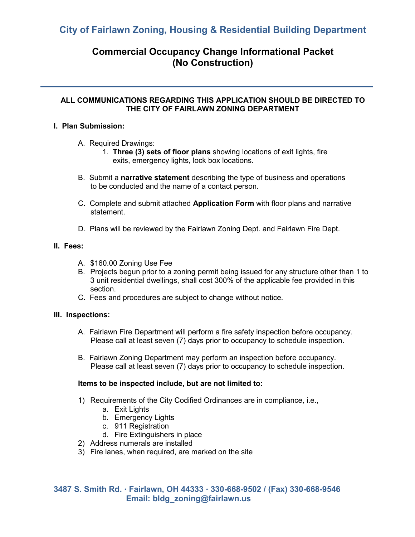## **Commercial Occupancy Change Informational Packet (No Construction)**

#### **ALL COMMUNICATIONS REGARDING THIS APPLICATION SHOULD BE DIRECTED TO THE CITY OF FAIRLAWN ZONING DEPARTMENT**

### **I. Plan Submission:**

- A. Required Drawings:
	- 1. **Three (3) sets of floor plans** showing locations of exit lights, fire exits, emergency lights, lock box locations.
- B. Submit a **narrative statement** describing the type of business and operations to be conducted and the name of a contact person.
- C. Complete and submit attached **Application Form** with floor plans and narrative statement.
- D. Plans will be reviewed by the Fairlawn Zoning Dept. and Fairlawn Fire Dept.

#### **II. Fees:**

- A. \$160.00 Zoning Use Fee
- B. Projects begun prior to a zoning permit being issued for any structure other than 1 to 3 unit residential dwellings, shall cost 300% of the applicable fee provided in this section.
- C. Fees and procedures are subject to change without notice.

#### **III. Inspections:**

- A. Fairlawn Fire Department will perform a fire safety inspection before occupancy. Please call at least seven (7) days prior to occupancy to schedule inspection.
- B. Fairlawn Zoning Department may perform an inspection before occupancy. Please call at least seven (7) days prior to occupancy to schedule inspection.

#### **Items to be inspected include, but are not limited to:**

- 1) Requirements of the City Codified Ordinances are in compliance, i.e.,
	- a. Exit Lights
	- b. Emergency Lights
	- c. 911 Registration
	- d. Fire Extinguishers in place
- 2) Address numerals are installed
- 3) Fire lanes, when required, are marked on the site

**3487 S. Smith Rd. Fairlawn, OH 44333 330-668-9502 / (Fax) 330-668-9546 Email: bldg\_zoning@fairlawn.us**